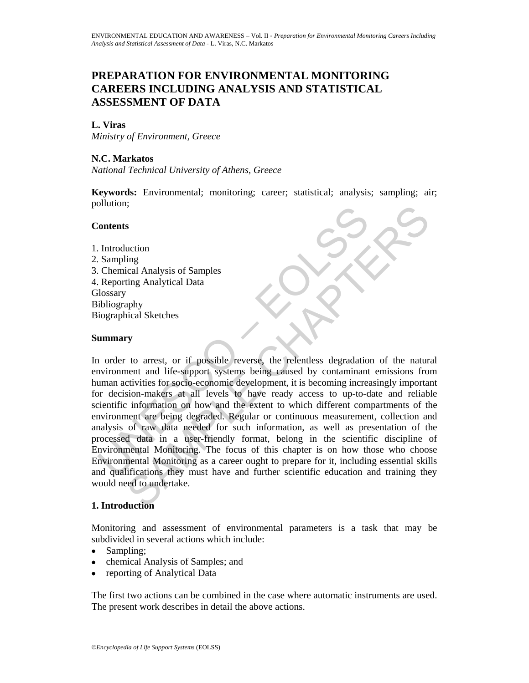# **PREPARATION FOR ENVIRONMENTAL MONITORING CAREERS INCLUDING ANALYSIS AND STATISTICAL ASSESSMENT OF DATA**

### **L. Viras**

*Ministry of Environment, Greece* 

## **N.C. Markatos**

*National Technical University of Athens, Greece* 

**Keywords:** Environmental; monitoring; career; statistical; analysis; sampling; air; pollution;

#### **Contents**

1. Introduction 2. Sampling 3. Chemical Analysis of Samples 4. Reporting Analytical Data **Glossary** Bibliography Biographical Sketches

#### **Summary**

Contents<br>
Introduction<br>
Introduction<br>
Sampling<br>
Chemical Analysis of Samples<br>
Reporting Analytical Data<br>
Ideosary<br>
iographical Sketches<br> **ummary**<br>
1 order to arrest, or if possible reverse, the relentless degradatio<br>
noivi S<br>
s<br>
uction<br>
ing<br>
ing Analytical Data<br>
ing Analytical Data<br>
phy<br>
to arrest, or if possible reverse, the relentless degradation of the nature<br>
nent and life-support systems being caused by contaminant emissions from<br>
tivit In order to arrest, or if possible reverse, the relentless degradation of the natural environment and life-support systems being caused by contaminant emissions from human activities for socio-economic development, it is becoming increasingly important for decision-makers at all levels to have ready access to up-to-date and reliable scientific information on how and the extent to which different compartments of the environment are being degraded. Regular or continuous measurement, collection and analysis of raw data needed for such information, as well as presentation of the processed data in a user-friendly format, belong in the scientific discipline of Environmental Monitoring. The focus of this chapter is on how those who choose Environmental Monitoring as a career ought to prepare for it, including essential skills and qualifications they must have and further scientific education and training they would need to undertake.

#### **1. Introduction**

Monitoring and assessment of environmental parameters is a task that may be subdivided in several actions which include:

- Sampling;
- chemical Analysis of Samples; and
- reporting of Analytical Data

The first two actions can be combined in the case where automatic instruments are used. The present work describes in detail the above actions.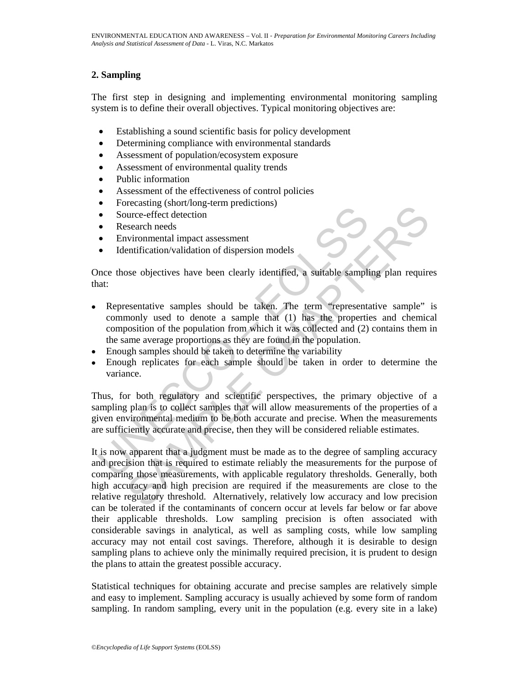# **2. Sampling**

The first step in designing and implementing environmental monitoring sampling system is to define their overall objectives. Typical monitoring objectives are:

- Establishing a sound scientific basis for policy development
- Determining compliance with environmental standards
- Assessment of population/ecosystem exposure
- Assessment of environmental quality trends
- Public information
- Assessment of the effectiveness of control policies
- Forecasting (short/long-term predictions)
- Source-effect detection
- Research needs
- Environmental impact assessment
- Identification/validation of dispersion models

Once those objectives have been clearly identified, a suitable sampling plan requires that:

- Source-effect detection<br>
Source-effect detection<br>
Research needs<br>
Environmental impact assessment<br>
Let the<br>
Environmental impact assessment<br>
Environmental impact assessment<br>
Environmental impact assessment<br>
Environmental i • Representative samples should be taken. The term "representative sample" is commonly used to denote a sample that (1) has the properties and chemical composition of the population from which it was collected and (2) contains them in the same average proportions as they are found in the population.
- Enough samples should be taken to determine the variability
- Enough replicates for each sample should be taken in order to determine the variance.

Thus, for both regulatory and scientific perspectives, the primary objective of a sampling plan is to collect samples that will allow measurements of the properties of a given environmental medium to be both accurate and precise. When the measurements are sufficiently accurate and precise, then they will be considered reliable estimates.

Accusting (shortong-term protections)<br>
euroe-effect detection<br>
search needs<br>
search needs<br>
search needs<br>
search needs<br>
search needs<br>
search needs<br>
search needs<br>
search needs<br>
search needs<br>
search needs<br>
search needs<br>
searc It is now apparent that a judgment must be made as to the degree of sampling accuracy and precision that is required to estimate reliably the measurements for the purpose of comparing those measurements, with applicable regulatory thresholds. Generally, both high accuracy and high precision are required if the measurements are close to the relative regulatory threshold. Alternatively, relatively low accuracy and low precision can be tolerated if the contaminants of concern occur at levels far below or far above their applicable thresholds. Low sampling precision is often associated with considerable savings in analytical, as well as sampling costs, while low sampling accuracy may not entail cost savings. Therefore, although it is desirable to design sampling plans to achieve only the minimally required precision, it is prudent to design the plans to attain the greatest possible accuracy.

Statistical techniques for obtaining accurate and precise samples are relatively simple and easy to implement. Sampling accuracy is usually achieved by some form of random sampling. In random sampling, every unit in the population (e.g. every site in a lake)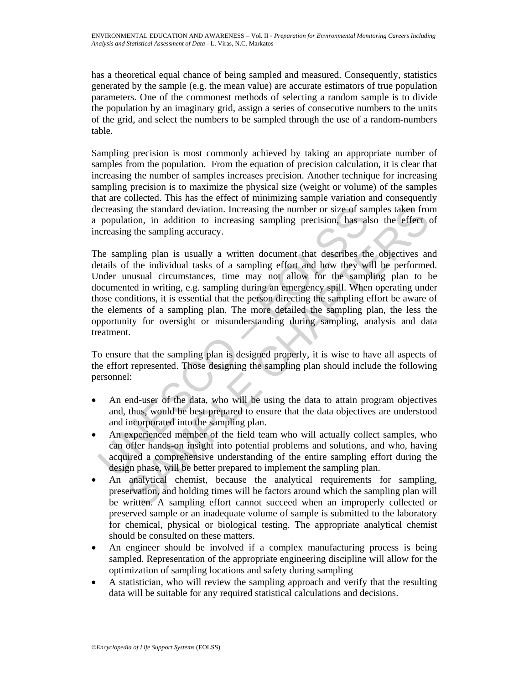has a theoretical equal chance of being sampled and measured. Consequently, statistics generated by the sample (e.g. the mean value) are accurate estimators of true population parameters. One of the commonest methods of selecting a random sample is to divide the population by an imaginary grid, assign a series of consecutive numbers to the units of the grid, and select the numbers to be sampled through the use of a random-numbers table.

Sampling precision is most commonly achieved by taking an appropriate number of samples from the population. From the equation of precision calculation, it is clear that increasing the number of samples increases precision. Another technique for increasing sampling precision is to maximize the physical size (weight or volume) of the samples that are collected. This has the effect of minimizing sample variation and consequently decreasing the standard deviation. Increasing the number or size of samples taken from a population, in addition to increasing sampling precision, has also the effect of increasing the sampling accuracy.

ecreasing the standard deviation. Increasing the number or size of sar<br>population, in addition to increasing sampling precision, has al<br>creasing the sampling accuracy.<br>he sampling accuracy.<br>he sampling plan is usually a wr ig the standard deviation. Increasing the number or size of samples taken from<br>the dio to increasing sampling precision, has also the effect end<br>g the sampling accuracy.<br>The plane accuracy appling accuracy.<br>The individual The sampling plan is usually a written document that describes the objectives and details of the individual tasks of a sampling effort and how they will be performed. Under unusual circumstances, time may not allow for the sampling plan to be documented in writing, e.g. sampling during an emergency spill. When operating under those conditions, it is essential that the person directing the sampling effort be aware of the elements of a sampling plan. The more detailed the sampling plan, the less the opportunity for oversight or misunderstanding during sampling, analysis and data treatment.

To ensure that the sampling plan is designed properly, it is wise to have all aspects of the effort represented. Those designing the sampling plan should include the following personnel:

- An end-user of the data, who will be using the data to attain program objectives and, thus, would be best prepared to ensure that the data objectives are understood and incorporated into the sampling plan.
- An experienced member of the field team who will actually collect samples, who can offer hands-on insight into potential problems and solutions, and who, having acquired a comprehensive understanding of the entire sampling effort during the design phase, will be better prepared to implement the sampling plan.
- An analytical chemist, because the analytical requirements for sampling, preservation, and holding times will be factors around which the sampling plan will be written. A sampling effort cannot succeed when an improperly collected or preserved sample or an inadequate volume of sample is submitted to the laboratory for chemical, physical or biological testing. The appropriate analytical chemist should be consulted on these matters.
- An engineer should be involved if a complex manufacturing process is being sampled. Representation of the appropriate engineering discipline will allow for the optimization of sampling locations and safety during sampling
- A statistician, who will review the sampling approach and verify that the resulting data will be suitable for any required statistical calculations and decisions.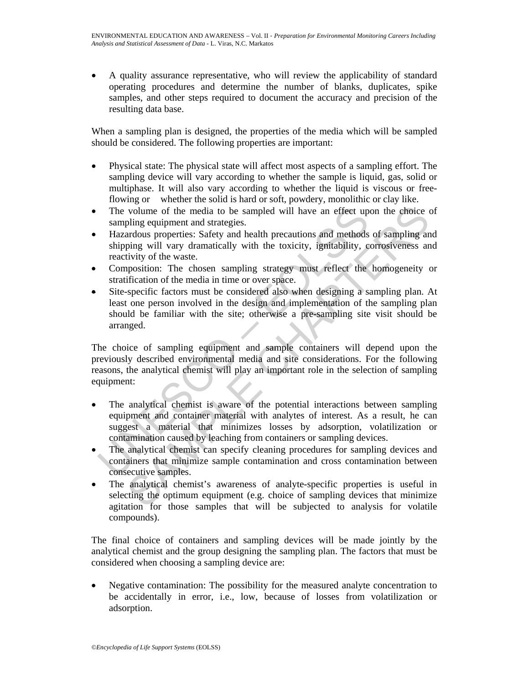• A quality assurance representative, who will review the applicability of standard operating procedures and determine the number of blanks, duplicates, spike samples, and other steps required to document the accuracy and precision of the resulting data base.

When a sampling plan is designed, the properties of the media which will be sampled should be considered. The following properties are important:

- Physical state: The physical state will affect most aspects of a sampling effort. The sampling device will vary according to whether the sample is liquid, gas, solid or multiphase. It will also vary according to whether the liquid is viscous or freeflowing or whether the solid is hard or soft, powdery, monolithic or clay like.
- The volume of the media to be sampled will have an effect upon the choice of sampling equipment and strategies.
- Hazardous properties: Safety and health precautions and methods of sampling and shipping will vary dramatically with the toxicity, ignitability, corrosiveness and reactivity of the waste.
- Composition: The chosen sampling strategy must reflect the homogeneity or stratification of the media in time or over space.
- Site-specific factors must be considered also when designing a sampling plan. At least one person involved in the design and implementation of the sampling plan should be familiar with the site; otherwise a pre-sampling site visit should be arranged.

The volume of the media to be sampled will have an effect up<br>sampling equipment and strategies.<br>Hazardous properties: Safety and health precautions and methods<br>shipping will vary dramatically with the toxicity, ignitabilit volume of the media to be sampled will have an effect upon the choice colling equipment and strategies.<br>
Figure equipment and strategies.<br>
Figure equipment and strategies.<br>
Figure will vary dramatically with the toxicity, The choice of sampling equipment and sample containers will depend upon the previously described environmental media and site considerations. For the following reasons, the analytical chemist will play an important role in the selection of sampling equipment:

- The analytical chemist is aware of the potential interactions between sampling equipment and container material with analytes of interest. As a result, he can suggest a material that minimizes losses by adsorption, volatilization or contamination caused by leaching from containers or sampling devices.
- The analytical chemist can specify cleaning procedures for sampling devices and containers that minimize sample contamination and cross contamination between consecutive samples.
- The analytical chemist's awareness of analyte-specific properties is useful in selecting the optimum equipment (e.g. choice of sampling devices that minimize agitation for those samples that will be subjected to analysis for volatile compounds).

The final choice of containers and sampling devices will be made jointly by the analytical chemist and the group designing the sampling plan. The factors that must be considered when choosing a sampling device are:

• Negative contamination: The possibility for the measured analyte concentration to be accidentally in error, i.e., low, because of losses from volatilization or adsorption.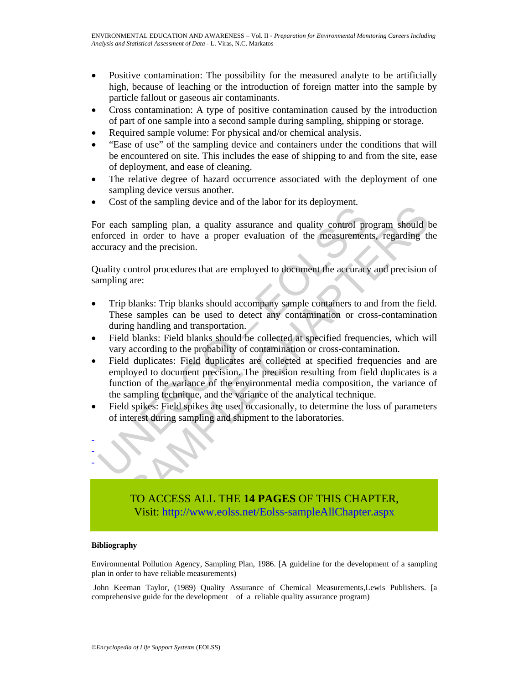- Positive contamination: The possibility for the measured analyte to be artificially high, because of leaching or the introduction of foreign matter into the sample by particle fallout or gaseous air contaminants.
- Cross contamination: A type of positive contamination caused by the introduction of part of one sample into a second sample during sampling, shipping or storage.
- Required sample volume: For physical and/or chemical analysis.
- "Ease of use" of the sampling device and containers under the conditions that will be encountered on site. This includes the ease of shipping to and from the site, ease of deployment, and ease of cleaning.
- The relative degree of hazard occurrence associated with the deployment of one sampling device versus another.
- Cost of the sampling device and of the labor for its deployment.

For each sampling plan, a quality assurance and quality control program should be enforced in order to have a proper evaluation of the measurements, regarding the accuracy and the precision.

Quality control procedures that are employed to document the accuracy and precision of sampling are:

- Trip blanks: Trip blanks should accompany sample containers to and from the field. These samples can be used to detect any contamination or cross-contamination during handling and transportation.
- Field blanks: Field blanks should be collected at specified frequencies, which will vary according to the probability of contamination or cross-contamination.
- The sampling and a quality assurance and quality control proced in order to have a proper evaluation of the measurement<br>curracy and the precision.<br>wality control procedures that are employed to document the accuracy<br>amplin or the sampling device and or the habit of the dephysiment.<br>
sampling plan, a quality assurance and quality control program should b<br>
in order to have a proper evaluation of the measurements, regarding th<br>
and the precisio • Field duplicates: Field duplicates are collected at specified frequencies and are employed to document precision. The precision resulting from field duplicates is a function of the variance of the environmental media composition, the variance of the sampling technique, and the variance of the analytical technique.
- Field spikes: Field spikes are used occasionally, to determine the loss of parameters of interest during sampling and shipment to the laboratories.



TO ACCESS ALL THE **14 PAGES** OF THIS CHAPTER, Visi[t: http://www.eolss.net/Eolss-sampleAllChapter.aspx](https://www.eolss.net/ebooklib/sc_cart.aspx?File=E4-16-05-04)

#### **Bibliography**

Environmental Pollution Agency, Sampling Plan, 1986. [A guideline for the development of a sampling plan in order to have reliable measurements)

 John Keeman Taylor, (1989) Quality Assurance of Chemical Measurements,Lewis Publishers. [a comprehensive guide for the development of a reliable quality assurance program)